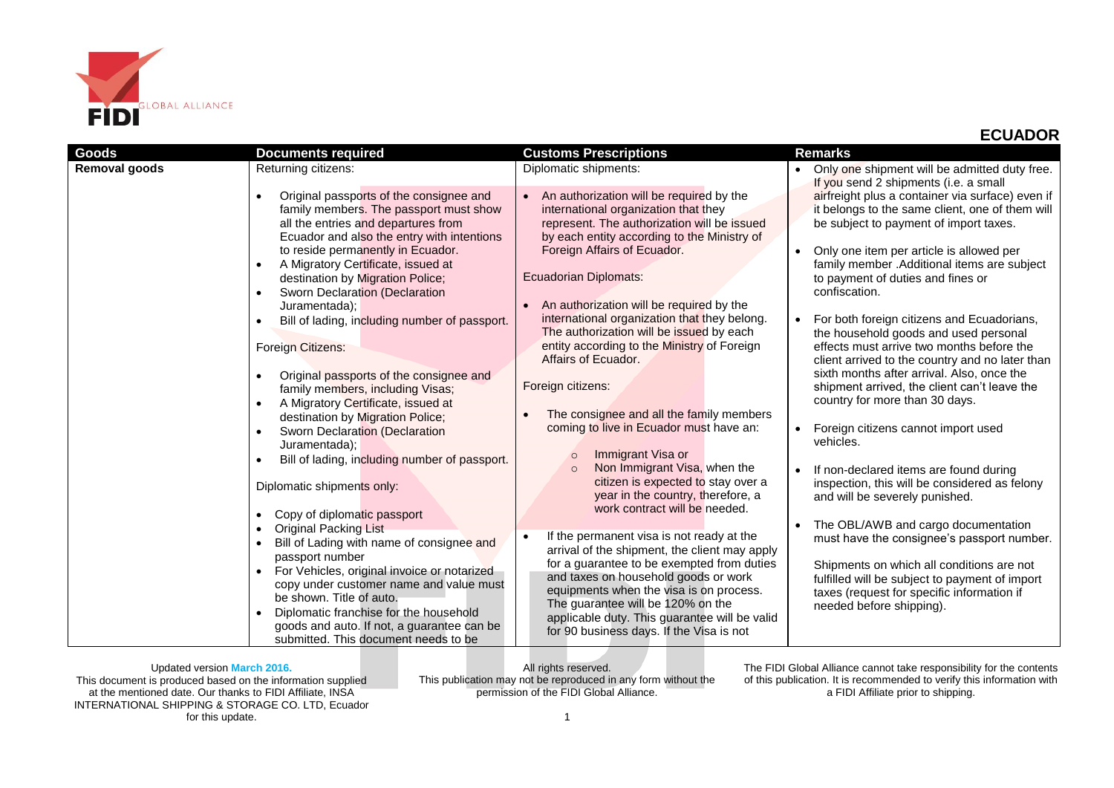

| <b>Goods</b>         | <b>Documents required</b>                                                                                                                                                                                                                                                                                                                                                                                                                                                                                                                                                                                                                                                                                                                                                                                                                             | <b>Customs Prescriptions</b>                                                                                                                                                                                                                                                                                                                                                                                                                                                                                                                                                                                                                                                                                                                                                                                                                                                    | <b>Remarks</b>                                                                                                                                                                                                                                                                                                                                                                                                                                                                                                                                                                                                                                                                                                                                                                                                                                                                                                                                    |
|----------------------|-------------------------------------------------------------------------------------------------------------------------------------------------------------------------------------------------------------------------------------------------------------------------------------------------------------------------------------------------------------------------------------------------------------------------------------------------------------------------------------------------------------------------------------------------------------------------------------------------------------------------------------------------------------------------------------------------------------------------------------------------------------------------------------------------------------------------------------------------------|---------------------------------------------------------------------------------------------------------------------------------------------------------------------------------------------------------------------------------------------------------------------------------------------------------------------------------------------------------------------------------------------------------------------------------------------------------------------------------------------------------------------------------------------------------------------------------------------------------------------------------------------------------------------------------------------------------------------------------------------------------------------------------------------------------------------------------------------------------------------------------|---------------------------------------------------------------------------------------------------------------------------------------------------------------------------------------------------------------------------------------------------------------------------------------------------------------------------------------------------------------------------------------------------------------------------------------------------------------------------------------------------------------------------------------------------------------------------------------------------------------------------------------------------------------------------------------------------------------------------------------------------------------------------------------------------------------------------------------------------------------------------------------------------------------------------------------------------|
| <b>Removal goods</b> | Returning citizens:                                                                                                                                                                                                                                                                                                                                                                                                                                                                                                                                                                                                                                                                                                                                                                                                                                   | Diplomatic shipments:                                                                                                                                                                                                                                                                                                                                                                                                                                                                                                                                                                                                                                                                                                                                                                                                                                                           | Only one shipment will be admitted duty free.                                                                                                                                                                                                                                                                                                                                                                                                                                                                                                                                                                                                                                                                                                                                                                                                                                                                                                     |
|                      | Original passports of the consignee and<br>family members. The passport must show<br>all the entries and departures from<br>Ecuador and also the entry with intentions<br>to reside permanently in Ecuador.<br>A Migratory Certificate, issued at<br>$\bullet$<br>destination by Migration Police;<br>Sworn Declaration (Declaration<br>Juramentada);<br>Bill of lading, including number of passport.<br>Foreign Citizens:<br>Original passports of the consignee and<br>family members, including Visas;<br>A Migratory Certificate, issued at<br>destination by Migration Police;<br>Sworn Declaration (Declaration<br>Juramentada);<br>Bill of lading, including number of passport.<br>Diplomatic shipments only:<br>Copy of diplomatic passport<br><b>Original Packing List</b><br>Bill of Lading with name of consignee and<br>passport number | An authorization will be required by the<br>$\bullet$<br>international organization that they<br>represent. The authorization will be issued<br>by each entity according to the Ministry of<br>Foreign Affairs of Ecuador.<br>Ecuadorian Diplomats:<br>An authorization will be required by the<br>international organization that they belong.<br>The authorization will be issued by each<br>entity according to the Ministry of Foreign<br>Affairs of Ecuador.<br>Foreign citizens:<br>The consignee and all the family members<br>coming to live in Ecuador must have an:<br>Immigrant Visa or<br>$\circ$<br>Non Immigrant Visa, when the<br>$\circ$<br>citizen is expected to stay over a<br>year in the country, therefore, a<br>work contract will be needed.<br>If the permanent visa is not ready at the<br>$\bullet$<br>arrival of the shipment, the client may apply | If you send 2 shipments (i.e. a small<br>airfreight plus a container via surface) even if<br>it belongs to the same client, one of them will<br>be subject to payment of import taxes.<br>Only one item per article is allowed per<br>family member .Additional items are subject<br>to payment of duties and fines or<br>confiscation.<br>For both foreign citizens and Ecuadorians,<br>the household goods and used personal<br>effects must arrive two months before the<br>client arrived to the country and no later than<br>sixth months after arrival. Also, once the<br>shipment arrived, the client can't leave the<br>country for more than 30 days.<br>Foreign citizens cannot import used<br>vehicles.<br>If non-declared items are found during<br>inspection, this will be considered as felony<br>and will be severely punished.<br>The OBL/AWB and cargo documentation<br>$\bullet$<br>must have the consignee's passport number. |
|                      | For Vehicles, original invoice or notarized<br>copy under customer name and value must<br>be shown. Title of auto.<br>Diplomatic franchise for the household<br>goods and auto. If not, a guarantee can be<br>submitted. This document needs to be                                                                                                                                                                                                                                                                                                                                                                                                                                                                                                                                                                                                    | for a guarantee to be exempted from duties<br>and taxes on household goods or work<br>equipments when the visa is on process.<br>The guarantee will be 120% on the<br>applicable duty. This guarantee will be valid<br>for 90 business days. If the Visa is not                                                                                                                                                                                                                                                                                                                                                                                                                                                                                                                                                                                                                 | Shipments on which all conditions are not<br>fulfilled will be subject to payment of import<br>taxes (request for specific information if<br>needed before shipping).                                                                                                                                                                                                                                                                                                                                                                                                                                                                                                                                                                                                                                                                                                                                                                             |

Updated version **March 2016.**

This document is produced based on the information supplied at the mentioned date. Our thanks to FIDI Affiliate, INSA INTERNATIONAL SHIPPING & STORAGE CO. LTD, Ecuador for this update.

All rights reserved. This publication may not be reproduced in any form without the permission of the FIDI Global Alliance.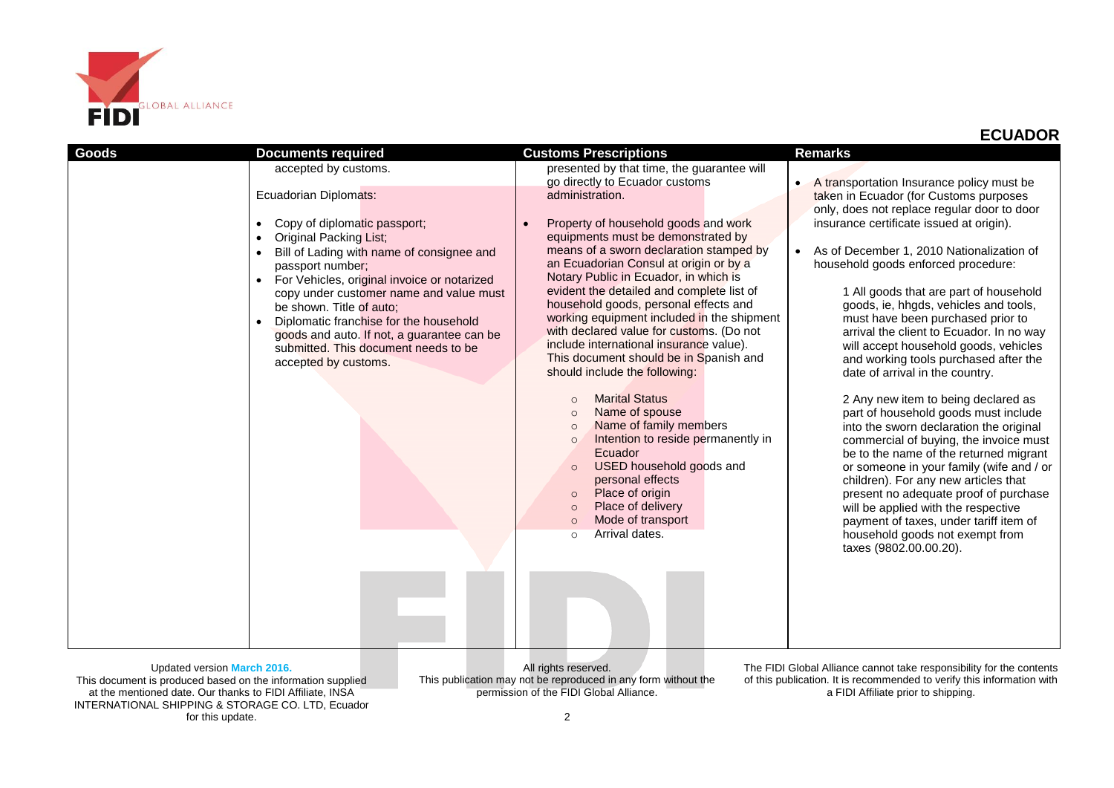

| Goods | <b>Documents required</b>                                                                                                                                                                                                                                                               | <b>Customs Prescriptions</b>                                                                                                                                                                                                                                                                                                                                 | <b>Remarks</b>                                                                                                                                                                                                                                                                                                                                                                                                                                                                        |
|-------|-----------------------------------------------------------------------------------------------------------------------------------------------------------------------------------------------------------------------------------------------------------------------------------------|--------------------------------------------------------------------------------------------------------------------------------------------------------------------------------------------------------------------------------------------------------------------------------------------------------------------------------------------------------------|---------------------------------------------------------------------------------------------------------------------------------------------------------------------------------------------------------------------------------------------------------------------------------------------------------------------------------------------------------------------------------------------------------------------------------------------------------------------------------------|
|       | accepted by customs.                                                                                                                                                                                                                                                                    | presented by that time, the guarantee will<br>go directly to Ecuador customs                                                                                                                                                                                                                                                                                 | A transportation Insurance policy must be                                                                                                                                                                                                                                                                                                                                                                                                                                             |
|       | Ecuadorian Diplomats:                                                                                                                                                                                                                                                                   | administration.                                                                                                                                                                                                                                                                                                                                              | taken in Ecuador (for Customs purposes<br>only, does not replace regular door to door                                                                                                                                                                                                                                                                                                                                                                                                 |
|       | Copy of diplomatic passport;<br>$\bullet$<br><b>Original Packing List;</b>                                                                                                                                                                                                              | Property of household goods and work<br>equipments must be demonstrated by                                                                                                                                                                                                                                                                                   | insurance certificate issued at origin).                                                                                                                                                                                                                                                                                                                                                                                                                                              |
|       | Bill of Lading with name of consignee and<br>passport number;                                                                                                                                                                                                                           | means of a sworn declaration stamped by<br>an Ecuadorian Consul at origin or by a                                                                                                                                                                                                                                                                            | As of December 1, 2010 Nationalization of<br>$\bullet$<br>household goods enforced procedure:                                                                                                                                                                                                                                                                                                                                                                                         |
|       | For Vehicles, original invoice or notarized<br>$\bullet$<br>copy under customer name and value must<br>be shown. Title of auto;<br>Diplomatic franchise for the household<br>goods and auto. If not, a guarantee can be<br>submitted. This document needs to be<br>accepted by customs. | Notary Public in Ecuador, in which is<br>evident the detailed and complete list of<br>household goods, personal effects and<br>working equipment included in the shipment<br>with declared value for customs. (Do not<br>include international insurance value).<br>This document should be in Spanish and<br>should include the following:                  | 1 All goods that are part of household<br>goods, ie, hhgds, vehicles and tools,<br>must have been purchased prior to<br>arrival the client to Ecuador. In no way<br>will accept household goods, vehicles<br>and working tools purchased after the<br>date of arrival in the country.                                                                                                                                                                                                 |
|       |                                                                                                                                                                                                                                                                                         | <b>Marital Status</b><br>$\circ$<br>Name of spouse<br>$\circ$<br>Name of family members<br>$\circ$<br>Intention to reside permanently in<br>$\circ$<br>Ecuador<br><b>USED</b> household goods and<br>$\circ$<br>personal effects<br>Place of origin<br>$\circ$<br>Place of delivery<br>$\circ$<br>Mode of transport<br>$\circ$<br>Arrival dates.<br>$\Omega$ | 2 Any new item to being declared as<br>part of household goods must include<br>into the sworn declaration the original<br>commercial of buying, the invoice must<br>be to the name of the returned migrant<br>or someone in your family (wife and / or<br>children). For any new articles that<br>present no adequate proof of purchase<br>will be applied with the respective<br>payment of taxes, under tariff item of<br>household goods not exempt from<br>taxes (9802.00.00.20). |
|       |                                                                                                                                                                                                                                                                                         |                                                                                                                                                                                                                                                                                                                                                              |                                                                                                                                                                                                                                                                                                                                                                                                                                                                                       |

Updated version **March 2016.** This document is produced based on the information supplied

at the mentioned date. Our thanks to FIDI Affiliate, INSA INTERNATIONAL SHIPPING & STORAGE CO. LTD, Ecuador for this update.

All rights reserved. This publication may not be reproduced in any form without the permission of the FIDI Global Alliance.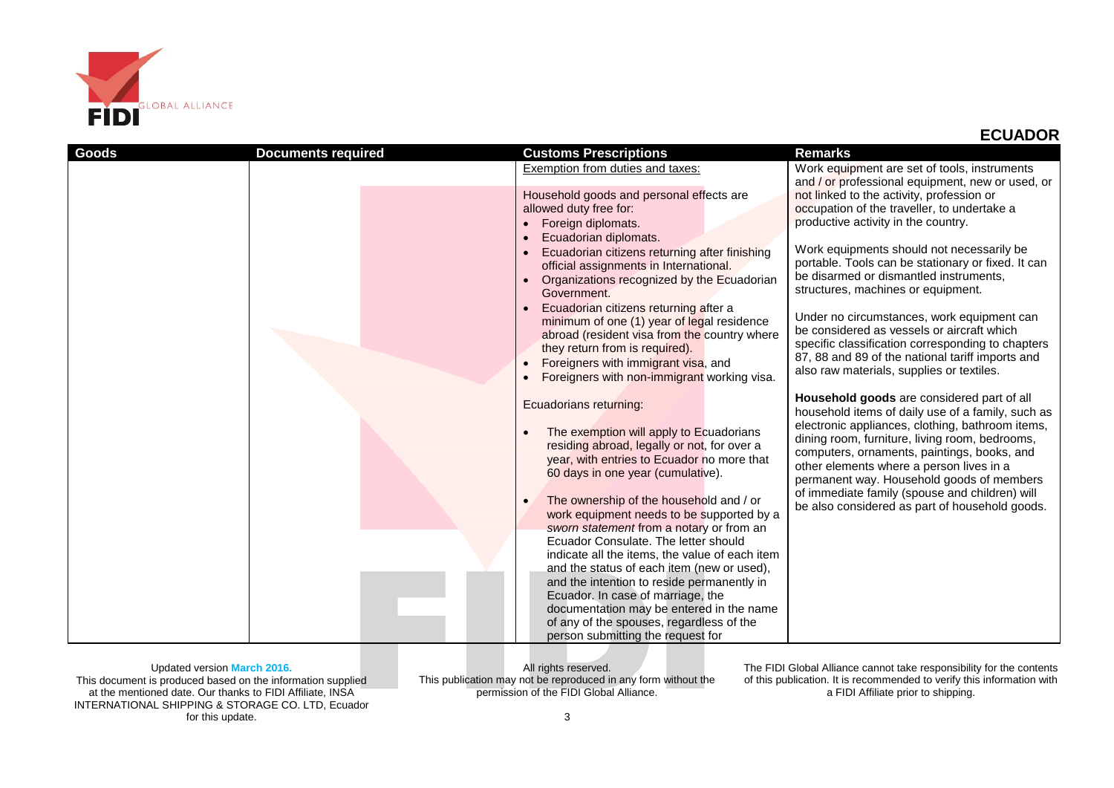

| <b>Goods</b> | <b>Documents required</b> | <b>Customs Prescriptions</b>                                                                                                                                                                                                                                | <b>Remarks</b>                                                                                                                                                                                                                                                                                                                                                                                  |
|--------------|---------------------------|-------------------------------------------------------------------------------------------------------------------------------------------------------------------------------------------------------------------------------------------------------------|-------------------------------------------------------------------------------------------------------------------------------------------------------------------------------------------------------------------------------------------------------------------------------------------------------------------------------------------------------------------------------------------------|
|              |                           | Exemption from duties and taxes:                                                                                                                                                                                                                            | Work equipment are set of tools, instruments<br>and / or professional equipment, new or used, or                                                                                                                                                                                                                                                                                                |
|              |                           | Household goods and personal effects are<br>allowed duty free for:<br>Foreign diplomats.<br>Ecuadorian diplomats.<br>Ecuadorian citizens returning after finishing                                                                                          | not linked to the activity, profession or<br>occupation of the traveller, to undertake a<br>productive activity in the country.<br>Work equipments should not necessarily be                                                                                                                                                                                                                    |
|              |                           | official assignments in International.<br>Organizations recognized by the Ecuadorian<br>Government.<br>Ecuadorian citizens returning after a                                                                                                                | portable. Tools can be stationary or fixed. It can<br>be disarmed or dismantled instruments,<br>structures, machines or equipment.                                                                                                                                                                                                                                                              |
|              |                           | minimum of one (1) year of legal residence<br>abroad (resident visa from the country where<br>they return from is required).<br>Foreigners with immigrant visa, and<br>Foreigners with non-immigrant working visa.                                          | Under no circumstances, work equipment can<br>be considered as vessels or aircraft which<br>specific classification corresponding to chapters<br>87, 88 and 89 of the national tariff imports and<br>also raw materials, supplies or textiles.                                                                                                                                                  |
|              |                           | Ecuadorians returning:<br>The exemption will apply to Ecuadorians<br>residing abroad, legally or not, for over a<br>year, with entries to Ecuador no more that<br>60 days in one year (cumulative).<br>The ownership of the household and / or<br>$\bullet$ | Household goods are considered part of all<br>household items of daily use of a family, such as<br>electronic appliances, clothing, bathroom items,<br>dining room, furniture, living room, bedrooms,<br>computers, ornaments, paintings, books, and<br>other elements where a person lives in a<br>permanent way. Household goods of members<br>of immediate family (spouse and children) will |
|              |                           | work equipment needs to be supported by a<br>sworn statement from a notary or from an<br>Ecuador Consulate. The letter should<br>indicate all the items, the value of each item<br>and the status of each item (new or used),                               | be also considered as part of household goods.                                                                                                                                                                                                                                                                                                                                                  |
|              |                           | and the intention to reside permanently in<br>Ecuador. In case of marriage, the<br>documentation may be entered in the name<br>of any of the spouses, regardless of the<br>person submitting the request for                                                |                                                                                                                                                                                                                                                                                                                                                                                                 |

Updated version **March 2016.**

This document is produced based on the information supplied at the mentioned date. Our thanks to FIDI Affiliate, INSA INTERNATIONAL SHIPPING & STORAGE CO. LTD, Ecuador for this update.

All rights reserved. This publication may not be reproduced in any form without the permission of the FIDI Global Alliance.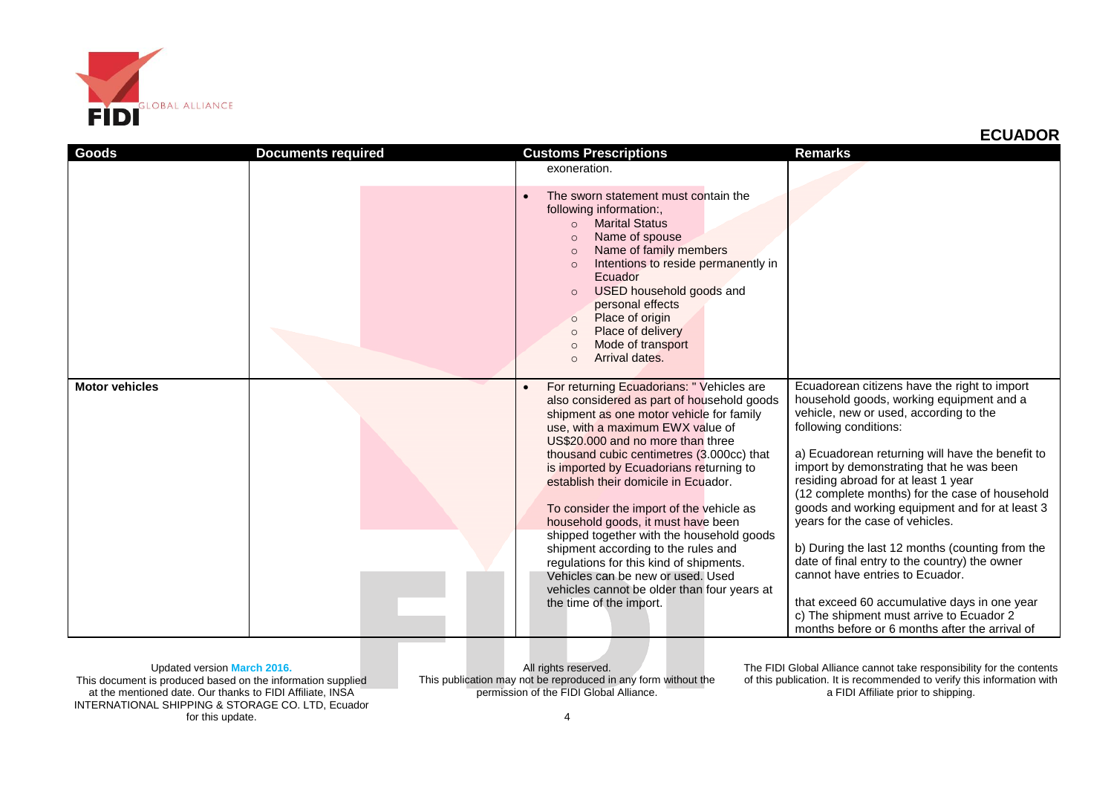

| <b>Goods</b>          | <b>Documents required</b> | <b>Customs Prescriptions</b>                                                                                                                                                                                                                                                                                                                                                                                                                                                                                                                                                                                                                                                 | <b>Remarks</b>                                                                                                                                                                                                                                                                                                                                                                                                                                                                                                                                                                                                                                                                                                                 |
|-----------------------|---------------------------|------------------------------------------------------------------------------------------------------------------------------------------------------------------------------------------------------------------------------------------------------------------------------------------------------------------------------------------------------------------------------------------------------------------------------------------------------------------------------------------------------------------------------------------------------------------------------------------------------------------------------------------------------------------------------|--------------------------------------------------------------------------------------------------------------------------------------------------------------------------------------------------------------------------------------------------------------------------------------------------------------------------------------------------------------------------------------------------------------------------------------------------------------------------------------------------------------------------------------------------------------------------------------------------------------------------------------------------------------------------------------------------------------------------------|
|                       |                           | exoneration.                                                                                                                                                                                                                                                                                                                                                                                                                                                                                                                                                                                                                                                                 |                                                                                                                                                                                                                                                                                                                                                                                                                                                                                                                                                                                                                                                                                                                                |
|                       |                           | The sworn statement must contain the<br>$\bullet$<br>following information:,<br><b>Marital Status</b><br>$\Omega$<br>Name of spouse<br>$\circ$<br>Name of family members<br>$\circ$<br>Intentions to reside permanently in<br>$\circ$<br>Ecuador<br>USED household goods and<br>personal effects<br>Place of origin<br>$\circ$<br>Place of delivery<br>$\circ$<br>Mode of transport<br>Arrival dates.<br>$\Omega$                                                                                                                                                                                                                                                            |                                                                                                                                                                                                                                                                                                                                                                                                                                                                                                                                                                                                                                                                                                                                |
| <b>Motor vehicles</b> |                           | For returning Ecuadorians: " Vehicles are<br>also considered as part of household goods<br>shipment as one motor vehicle for family<br>use, with a maximum EWX value of<br>US\$20,000 and no more than three<br>thousand cubic centimetres (3.000cc) that<br>is imported by Ecuadorians returning to<br>establish their domicile in Ecuador.<br>To consider the import of the vehicle as<br>household goods, it must have been<br>shipped together with the household goods<br>shipment according to the rules and<br>regulations for this kind of shipments.<br>Vehicles can be new or used. Used<br>vehicles cannot be older than four years at<br>the time of the import. | Ecuadorean citizens have the right to import<br>household goods, working equipment and a<br>vehicle, new or used, according to the<br>following conditions:<br>a) Ecuadorean returning will have the benefit to<br>import by demonstrating that he was been<br>residing abroad for at least 1 year<br>(12 complete months) for the case of household<br>goods and working equipment and for at least 3<br>years for the case of vehicles.<br>b) During the last 12 months (counting from the<br>date of final entry to the country) the owner<br>cannot have entries to Ecuador.<br>that exceed 60 accumulative days in one year<br>c) The shipment must arrive to Ecuador 2<br>months before or 6 months after the arrival of |

Updated version **March 2016.**

This document is produced based on the information supplied at the mentioned date. Our thanks to FIDI Affiliate, INSA INTERNATIONAL SHIPPING & STORAGE CO. LTD, Ecuador for this update.

All rights reserved. This publication may not be reproduced in any form without the permission of the FIDI Global Alliance.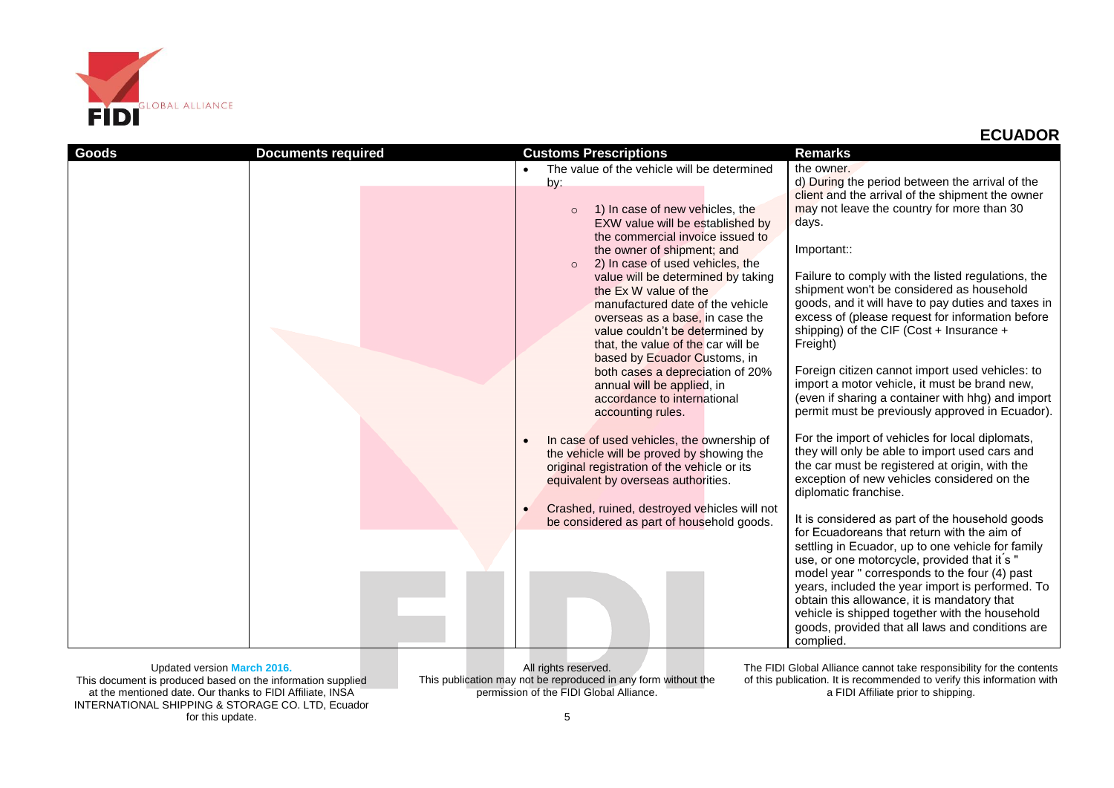

| Goods | <b>Documents required</b> | <b>Customs Prescriptions</b>                                                                                                                                                                                                                                                                                                                                                                                                                          | <b>Remarks</b>                                                                                                                                                                                                                                                                                                                                                                                                                                                             |
|-------|---------------------------|-------------------------------------------------------------------------------------------------------------------------------------------------------------------------------------------------------------------------------------------------------------------------------------------------------------------------------------------------------------------------------------------------------------------------------------------------------|----------------------------------------------------------------------------------------------------------------------------------------------------------------------------------------------------------------------------------------------------------------------------------------------------------------------------------------------------------------------------------------------------------------------------------------------------------------------------|
|       |                           | The value of the vehicle will be determined                                                                                                                                                                                                                                                                                                                                                                                                           | the owner.                                                                                                                                                                                                                                                                                                                                                                                                                                                                 |
|       |                           | by:<br>1) In case of new vehicles, the<br>$\circ$<br>EXW value will be established by<br>the commercial invoice issued to<br>the owner of shipment; and<br>2) In case of used vehicles, the<br>$\circ$<br>value will be determined by taking<br>the Ex W value of the<br>manufactured date of the vehicle<br>overseas as a base, in case the<br>value couldn't be determined by<br>that, the value of the car will be<br>based by Ecuador Customs, in | d) During the period between the arrival of the<br>client and the arrival of the shipment the owner<br>may not leave the country for more than 30<br>days.<br>Important::<br>Failure to comply with the listed regulations, the<br>shipment won't be considered as household<br>goods, and it will have to pay duties and taxes in<br>excess of (please request for information before<br>shipping) of the CIF (Cost + Insurance +<br>Freight)                             |
|       |                           | both cases a depreciation of 20%<br>annual will be applied, in<br>accordance to international<br>accounting rules.<br>In case of used vehicles, the ownership of<br>$\bullet$<br>the vehicle will be proved by showing the<br>original registration of the vehicle or its<br>equivalent by overseas authorities.                                                                                                                                      | Foreign citizen cannot import used vehicles: to<br>import a motor vehicle, it must be brand new,<br>(even if sharing a container with hhg) and import<br>permit must be previously approved in Ecuador).<br>For the import of vehicles for local diplomats,<br>they will only be able to import used cars and<br>the car must be registered at origin, with the<br>exception of new vehicles considered on the<br>diplomatic franchise.                                    |
|       |                           | Crashed, ruined, destroyed vehicles will not<br>$\bullet$<br>be considered as part of household goods.                                                                                                                                                                                                                                                                                                                                                | It is considered as part of the household goods<br>for Ecuadoreans that return with the aim of<br>settling in Ecuador, up to one vehicle for family<br>use, or one motorcycle, provided that it's "<br>model year " corresponds to the four (4) past<br>years, included the year import is performed. To<br>obtain this allowance, it is mandatory that<br>vehicle is shipped together with the household<br>goods, provided that all laws and conditions are<br>complied. |

Updated version **March 2016.** This document is produced based on the information supplied at the mentioned date. Our thanks to FIDI Affiliate, INSA INTERNATIONAL SHIPPING & STORAGE CO. LTD, Ecuador for this update.

All rights reserved. This publication may not be reproduced in any form without the permission of the FIDI Global Alliance.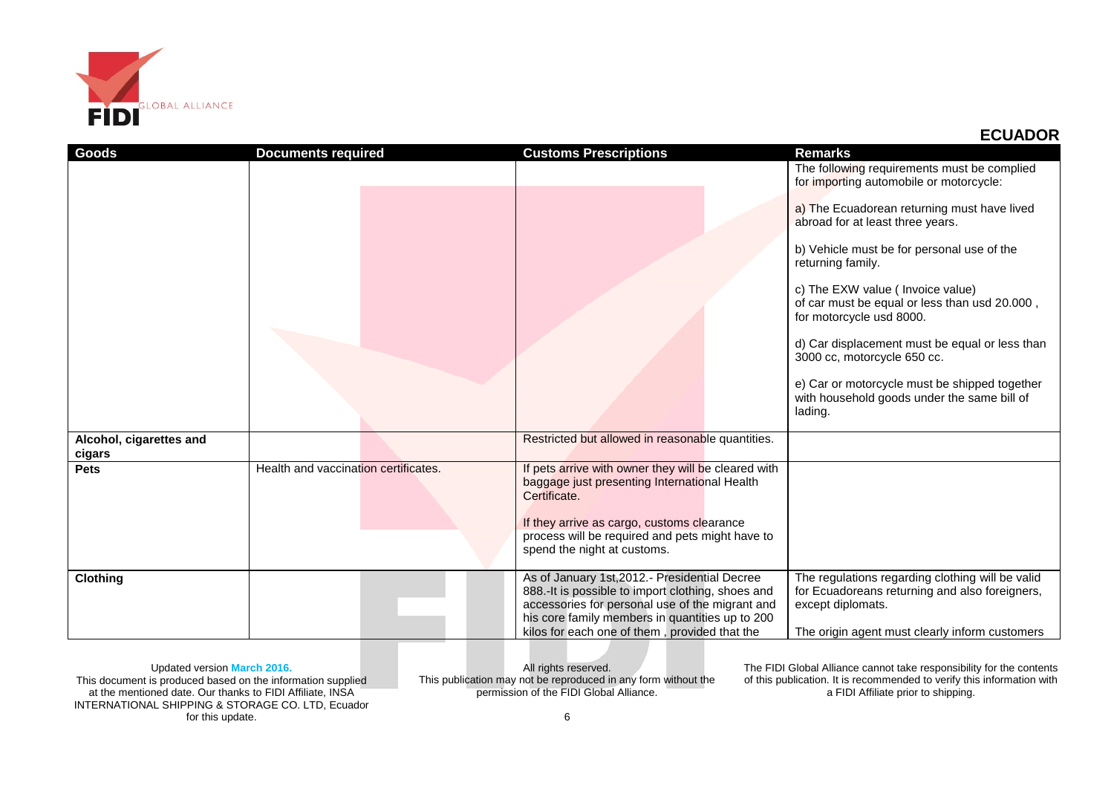

| Goods                             | <b>Documents required</b>            | <b>Customs Prescriptions</b>                                                                                                                                                                                                                        | <b>Remarks</b>                                                                                                |
|-----------------------------------|--------------------------------------|-----------------------------------------------------------------------------------------------------------------------------------------------------------------------------------------------------------------------------------------------------|---------------------------------------------------------------------------------------------------------------|
|                                   |                                      |                                                                                                                                                                                                                                                     | The following requirements must be complied<br>for importing automobile or motorcycle:                        |
|                                   |                                      |                                                                                                                                                                                                                                                     | a) The Ecuadorean returning must have lived<br>abroad for at least three years.                               |
|                                   |                                      |                                                                                                                                                                                                                                                     | b) Vehicle must be for personal use of the<br>returning family.                                               |
|                                   |                                      |                                                                                                                                                                                                                                                     | c) The EXW value (Invoice value)<br>of car must be equal or less than usd 20.000,<br>for motorcycle usd 8000. |
|                                   |                                      |                                                                                                                                                                                                                                                     | d) Car displacement must be equal or less than<br>3000 cc, motorcycle 650 cc.                                 |
|                                   |                                      |                                                                                                                                                                                                                                                     | e) Car or motorcycle must be shipped together<br>with household goods under the same bill of<br>lading.       |
| Alcohol, cigarettes and<br>cigars |                                      | Restricted but allowed in reasonable quantities.                                                                                                                                                                                                    |                                                                                                               |
| <b>Pets</b>                       | Health and vaccination certificates. | If pets arrive with owner they will be cleared with<br>baggage just presenting International Health<br>Certificate.<br>If they arrive as cargo, customs clearance<br>process will be required and pets might have to<br>spend the night at customs. |                                                                                                               |
| <b>Clothing</b>                   |                                      | As of January 1st, 2012.- Presidential Decree                                                                                                                                                                                                       | The regulations regarding clothing will be valid                                                              |
|                                   |                                      | 888.-It is possible to import clothing, shoes and                                                                                                                                                                                                   | for Ecuadoreans returning and also foreigners,                                                                |
|                                   |                                      | accessories for personal use of the migrant and<br>his core family members in quantities up to 200                                                                                                                                                  | except diplomats.                                                                                             |
|                                   |                                      | kilos for each one of them, provided that the                                                                                                                                                                                                       | The origin agent must clearly inform customers                                                                |

Updated version **March 2016.** This document is produced based on the information supplied

at the mentioned date. Our thanks to FIDI Affiliate, INSA INTERNATIONAL SHIPPING & STORAGE CO. LTD, Ecuador for this update.

All rights reserved. This publication may not be reproduced in any form without the permission of the FIDI Global Alliance.